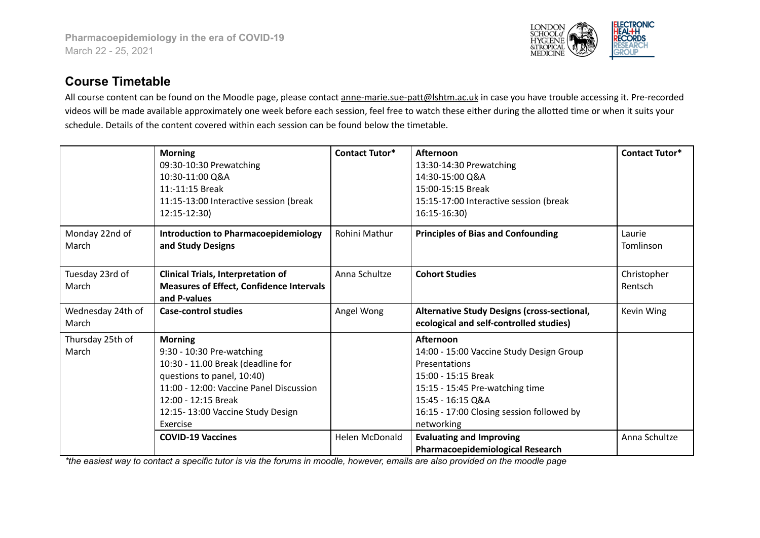

## **Course Timetable**

All course content can be found on the Moodle page, please contact anne-marie.sue-patt@lshtm.ac.uk in case you have trouble accessing it. Pre-recorded videos will be made available approximately one week before each session, feel free to watch these either during the allotted time or when it suits your schedule. Details of the content covered within each session can be found below the timetable.

|                            | <b>Morning</b><br>09:30-10:30 Prewatching<br>10:30-11:00 Q&A<br>11:-11:15 Break<br>11:15-13:00 Interactive session (break                                                                                                        | <b>Contact Tutor*</b> | Afternoon<br>13:30-14:30 Prewatching<br>14:30-15:00 Q&A<br>15:00-15:15 Break<br>15:15-17:00 Interactive session (break                                                                                           | <b>Contact Tutor*</b>  |
|----------------------------|----------------------------------------------------------------------------------------------------------------------------------------------------------------------------------------------------------------------------------|-----------------------|------------------------------------------------------------------------------------------------------------------------------------------------------------------------------------------------------------------|------------------------|
| Monday 22nd of<br>March    | 12:15-12:30)<br><b>Introduction to Pharmacoepidemiology</b><br>and Study Designs                                                                                                                                                 | Rohini Mathur         | $16:15-16:30$<br><b>Principles of Bias and Confounding</b>                                                                                                                                                       | Laurie<br>Tomlinson    |
| Tuesday 23rd of<br>March   | <b>Clinical Trials, Interpretation of</b><br><b>Measures of Effect, Confidence Intervals</b><br>and P-values                                                                                                                     | Anna Schultze         | <b>Cohort Studies</b>                                                                                                                                                                                            | Christopher<br>Rentsch |
| Wednesday 24th of<br>March | <b>Case-control studies</b>                                                                                                                                                                                                      | Angel Wong            | <b>Alternative Study Designs (cross-sectional,</b><br>ecological and self-controlled studies)                                                                                                                    | Kevin Wing             |
| Thursday 25th of<br>March  | <b>Morning</b><br>9:30 - 10:30 Pre-watching<br>10:30 - 11.00 Break (deadline for<br>questions to panel, 10:40)<br>11:00 - 12:00: Vaccine Panel Discussion<br>12:00 - 12:15 Break<br>12:15-13:00 Vaccine Study Design<br>Exercise |                       | Afternoon<br>14:00 - 15:00 Vaccine Study Design Group<br>Presentations<br>15:00 - 15:15 Break<br>15:15 - 15:45 Pre-watching time<br>15:45 - 16:15 Q&A<br>16:15 - 17:00 Closing session followed by<br>networking |                        |
|                            | <b>COVID-19 Vaccines</b>                                                                                                                                                                                                         | <b>Helen McDonald</b> | <b>Evaluating and Improving</b><br>Pharmacoepidemiological Research                                                                                                                                              | Anna Schultze          |

\*the easiest way to contact a specific tutor is via the forums in moodle, however, emails are also provided on the moodle page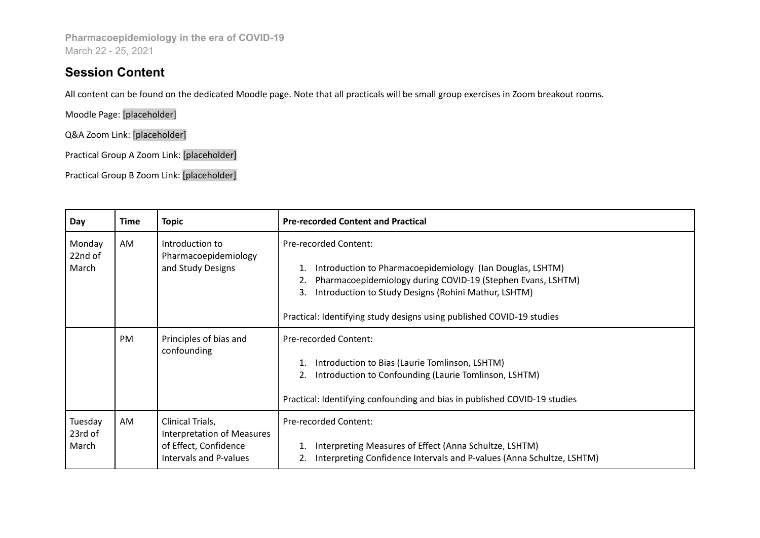**Pharmacoepidemiology in the era of COVID-19** March 22 - 25, 2021

## **Session Content**

All content can be found on the dedicated Moodle page. Note that all practicals will be small group exercises in Zoom breakout rooms.

Moodle Page: [placeholder]

Q&A Zoom Link: [placeholder]

Practical Group A Zoom Link: [placeholder]

Practical Group B Zoom Link: [placeholder]

| Day                         | Time      | <b>Topic</b>                                                                                             | <b>Pre-recorded Content and Practical</b>                                                                                                                                                                                                                                                       |  |
|-----------------------------|-----------|----------------------------------------------------------------------------------------------------------|-------------------------------------------------------------------------------------------------------------------------------------------------------------------------------------------------------------------------------------------------------------------------------------------------|--|
| Monday<br>22nd of<br>March  | AM        | Introduction to<br>Pharmacoepidemiology<br>and Study Designs                                             | <b>Pre-recorded Content:</b><br>Introduction to Pharmacoepidemiology (Ian Douglas, LSHTM)<br>Pharmacoepidemiology during COVID-19 (Stephen Evans, LSHTM)<br>Introduction to Study Designs (Rohini Mathur, LSHTM)<br>3.<br>Practical: Identifying study designs using published COVID-19 studies |  |
|                             | <b>PM</b> | Principles of bias and<br>confounding                                                                    | <b>Pre-recorded Content:</b><br>Introduction to Bias (Laurie Tomlinson, LSHTM)<br>Introduction to Confounding (Laurie Tomlinson, LSHTM)<br>Practical: Identifying confounding and bias in published COVID-19 studies                                                                            |  |
| Tuesday<br>23rd of<br>March | AM        | Clinical Trials,<br><b>Interpretation of Measures</b><br>of Effect, Confidence<br>Intervals and P-values | <b>Pre-recorded Content:</b><br>Interpreting Measures of Effect (Anna Schultze, LSHTM)<br>Interpreting Confidence Intervals and P-values (Anna Schultze, LSHTM)                                                                                                                                 |  |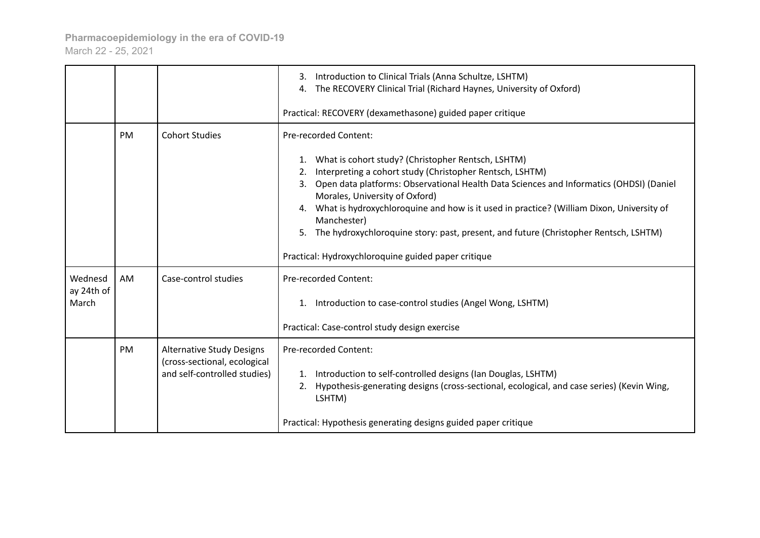|                                |           |                                                                                                  | 3. Introduction to Clinical Trials (Anna Schultze, LSHTM)<br>The RECOVERY Clinical Trial (Richard Haynes, University of Oxford)<br>4.                                                                                                                                                                                                                                                                                                                                                                             |
|--------------------------------|-----------|--------------------------------------------------------------------------------------------------|-------------------------------------------------------------------------------------------------------------------------------------------------------------------------------------------------------------------------------------------------------------------------------------------------------------------------------------------------------------------------------------------------------------------------------------------------------------------------------------------------------------------|
|                                |           |                                                                                                  | Practical: RECOVERY (dexamethasone) guided paper critique                                                                                                                                                                                                                                                                                                                                                                                                                                                         |
|                                | PM        | <b>Cohort Studies</b>                                                                            | Pre-recorded Content:                                                                                                                                                                                                                                                                                                                                                                                                                                                                                             |
|                                |           |                                                                                                  | What is cohort study? (Christopher Rentsch, LSHTM)<br>Interpreting a cohort study (Christopher Rentsch, LSHTM)<br>Open data platforms: Observational Health Data Sciences and Informatics (OHDSI) (Daniel<br>3.<br>Morales, University of Oxford)<br>What is hydroxychloroquine and how is it used in practice? (William Dixon, University of<br>Manchester)<br>The hydroxychloroquine story: past, present, and future (Christopher Rentsch, LSHTM)<br>5.<br>Practical: Hydroxychloroquine guided paper critique |
| Wednesd<br>ay 24th of<br>March | AM        | Case-control studies                                                                             | Pre-recorded Content:<br>1. Introduction to case-control studies (Angel Wong, LSHTM)                                                                                                                                                                                                                                                                                                                                                                                                                              |
|                                |           |                                                                                                  | Practical: Case-control study design exercise                                                                                                                                                                                                                                                                                                                                                                                                                                                                     |
|                                | <b>PM</b> | <b>Alternative Study Designs</b><br>(cross-sectional, ecological<br>and self-controlled studies) | Pre-recorded Content:<br>1. Introduction to self-controlled designs (Ian Douglas, LSHTM)<br>Hypothesis-generating designs (cross-sectional, ecological, and case series) (Kevin Wing,<br>2.<br>LSHTM)                                                                                                                                                                                                                                                                                                             |
|                                |           |                                                                                                  | Practical: Hypothesis generating designs guided paper critique                                                                                                                                                                                                                                                                                                                                                                                                                                                    |